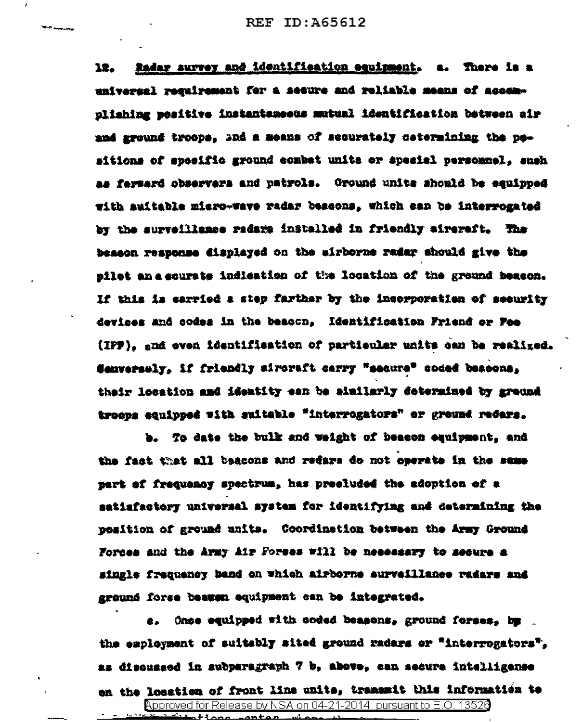Radar survey and identification equipment. a. There is a 12. universal requirement for a secure and reliable means of accomnliahing wesitive instantsmeets mutual identification between air and sround troops. Ind a means of securately cetermining the pesitions of specific ground combat units or special personnel, such as ferward observers and patrols. Ground units should be equipped with auitable micro-wave radar bescons. which can be interrogated by the surveillance radars installed in friendly aircraft. The besson reapense displayed on the airborne radar should give the nilet an a courate indication of the location of the ground beason. If this is carried a step farther by the incorporation of security devices and codes in the beacon. Identification Friend or Fee (IPP), and even identifiestion of partieuler units can be realized. Sanversely. If friendly sircraft carry "secure" coded beacona. their location and identity can be similarly determined by greund troeps equipped with suitable "interrogators" or ground redars.

b. To date the bulk and weight of beason eauipment, and the fact that all beacons and redars do not operate in the same part of frequency spectrum, has preeluded the adoption of a satiafactory universal system for identifying and determining the position of ground units. Coordination between the Army Ground Forces and the Army Air Forses will be necessary to secure a single frequency band on which airborne surveillance radars and ground forse beauen equipment can be integrated.

e. Once equipped with coded beasons, ground forses, by . the employment of suitably sited ground radars or "interrogators". as disquased in subparagraph 7 b, above, can secure intelligence en the location of front line units, transmit this information to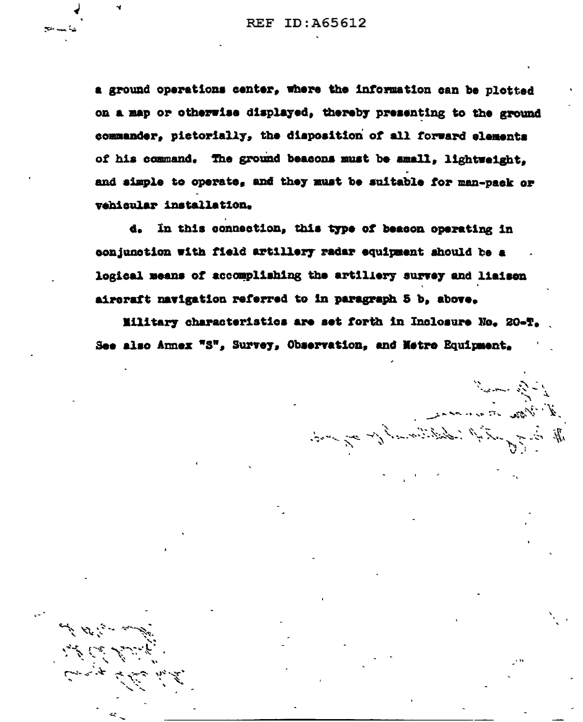a ground operations center, where the information can be plotted on a map or otherwise displayed, thereby presenting to the ground commander, pictorially, the disposition of all forward elements of his command. The ground beasons must be amall. lightweight. and simple to operate, and they must be suitable for man-pack or vehicular installation.

d. In this connection, this type of beacon operating in conjunction with field artillery radar equipment should be a logical means of accomplishing the artiliery survey and liaison aircraft navigation referred to in paragraph 5 b, above.

Military characteristics are set forth in Inclosure No. 20-T. See also Annex "S", Survey, Observation, and Netre Equipment.

معجز براد سي الم

 $\sum_{i=1}^N\sum_{j=1}^N\sum_{j=1}^N\sum_{j=1}^N\sum_{j=1}^N\sum_{j=1}^N\sum_{j=1}^N\sum_{j=1}^N\sum_{j=1}^N\sum_{j=1}^N\sum_{j=1}^N\sum_{j=1}^N\sum_{j=1}^N\sum_{j=1}^N\sum_{j=1}^N\sum_{j=1}^N\sum_{j=1}^N\sum_{j=1}^N\sum_{j=1}^N\sum_{j=1}^N\sum_{j=1}^N\sum_{j=1}^N\sum_{j=1}^N\sum_{j=1}^N\sum_{j$ 

A May in an an

I all the subject of the control of the same of the